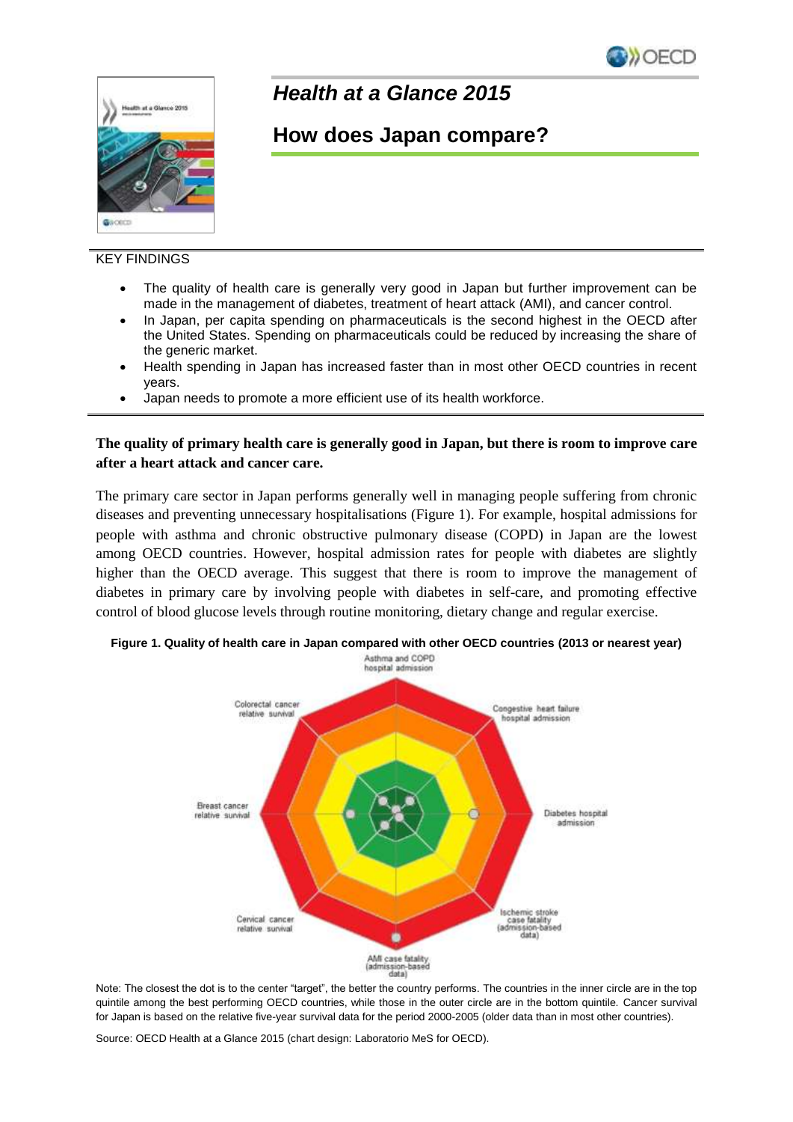



## *Health at a Glance 2015*

# **How does Japan compare?**

### KEY FINDINGS

- The quality of health care is generally very good in Japan but further improvement can be made in the management of diabetes, treatment of heart attack (AMI), and cancer control.
- In Japan, per capita spending on pharmaceuticals is the second highest in the OECD after the United States. Spending on pharmaceuticals could be reduced by increasing the share of the generic market.
- Health spending in Japan has increased faster than in most other OECD countries in recent years.
- Japan needs to promote a more efficient use of its health workforce.

#### **The quality of primary health care is generally good in Japan, but there is room to improve care after a heart attack and cancer care.**

The primary care sector in Japan performs generally well in managing people suffering from chronic diseases and preventing unnecessary hospitalisations (Figure 1). For example, hospital admissions for people with asthma and chronic obstructive pulmonary disease (COPD) in Japan are the lowest among OECD countries. However, hospital admission rates for people with diabetes are slightly higher than the OECD average. This suggest that there is room to improve the management of diabetes in primary care by involving people with diabetes in self-care, and promoting effective control of blood glucose levels through routine monitoring, dietary change and regular exercise.



**Figure 1. Quality of health care in Japan compared with other OECD countries (2013 or nearest year)**

Note: The closest the dot is to the center "target", the better the country performs. The countries in the inner circle are in the top quintile among the best performing OECD countries, while those in the outer circle are in the bottom quintile. Cancer survival for Japan is based on the relative five-year survival data for the period 2000-2005 (older data than in most other countries).

Source: OECD Health at a Glance 2015 (chart design: Laboratorio MeS for OECD).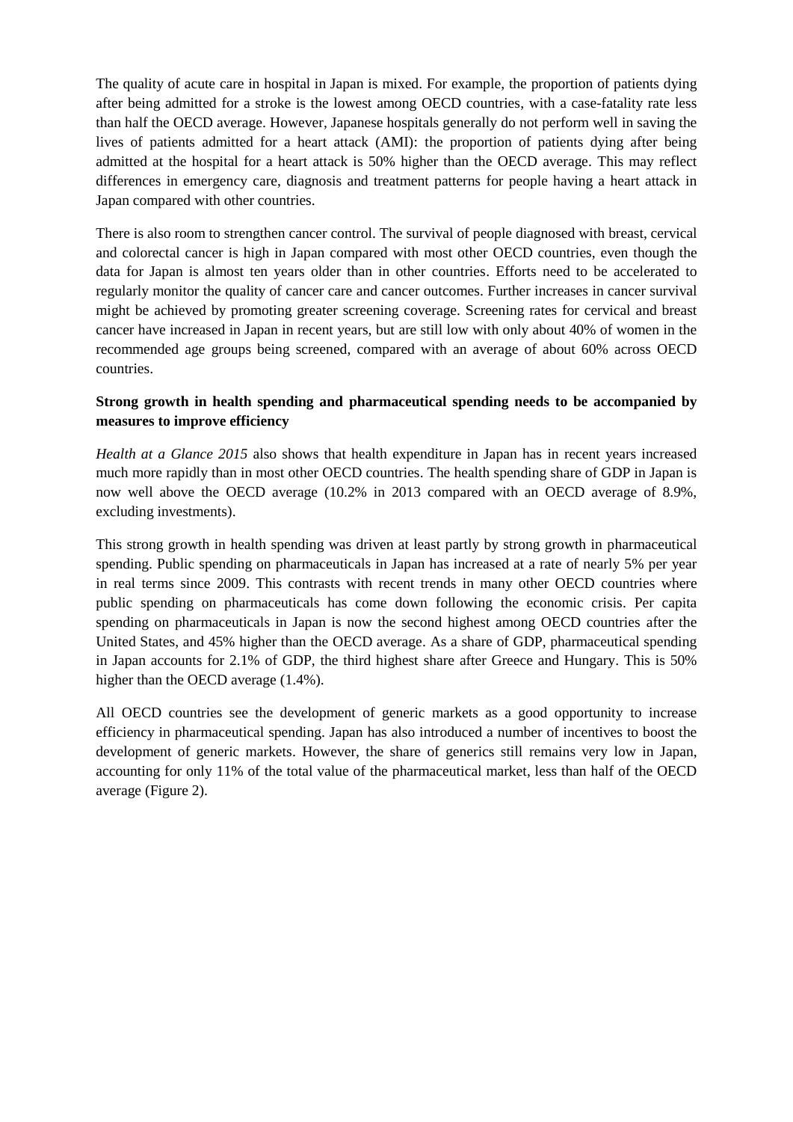The quality of acute care in hospital in Japan is mixed. For example, the proportion of patients dying after being admitted for a stroke is the lowest among OECD countries, with a case-fatality rate less than half the OECD average. However, Japanese hospitals generally do not perform well in saving the lives of patients admitted for a heart attack (AMI): the proportion of patients dying after being admitted at the hospital for a heart attack is 50% higher than the OECD average. This may reflect differences in emergency care, diagnosis and treatment patterns for people having a heart attack in Japan compared with other countries.

There is also room to strengthen cancer control. The survival of people diagnosed with breast, cervical and colorectal cancer is high in Japan compared with most other OECD countries, even though the data for Japan is almost ten years older than in other countries. Efforts need to be accelerated to regularly monitor the quality of cancer care and cancer outcomes. Further increases in cancer survival might be achieved by promoting greater screening coverage. Screening rates for cervical and breast cancer have increased in Japan in recent years, but are still low with only about 40% of women in the recommended age groups being screened, compared with an average of about 60% across OECD countries.

### **Strong growth in health spending and pharmaceutical spending needs to be accompanied by measures to improve efficiency**

*Health at a Glance 2015* also shows that health expenditure in Japan has in recent years increased much more rapidly than in most other OECD countries. The health spending share of GDP in Japan is now well above the OECD average (10.2% in 2013 compared with an OECD average of 8.9%, excluding investments).

This strong growth in health spending was driven at least partly by strong growth in pharmaceutical spending. Public spending on pharmaceuticals in Japan has increased at a rate of nearly 5% per year in real terms since 2009. This contrasts with recent trends in many other OECD countries where public spending on pharmaceuticals has come down following the economic crisis. Per capita spending on pharmaceuticals in Japan is now the second highest among OECD countries after the United States, and 45% higher than the OECD average. As a share of GDP, pharmaceutical spending in Japan accounts for 2.1% of GDP, the third highest share after Greece and Hungary. This is 50% higher than the OECD average (1.4%).

All OECD countries see the development of generic markets as a good opportunity to increase efficiency in pharmaceutical spending. Japan has also introduced a number of incentives to boost the development of generic markets. However, the share of generics still remains very low in Japan, accounting for only 11% of the total value of the pharmaceutical market, less than half of the OECD average (Figure 2).